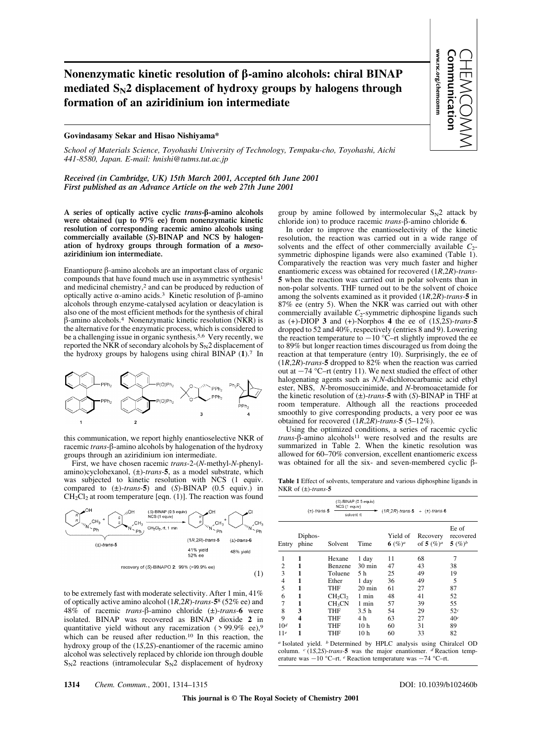## **Nonenzymatic kinetic resolution of** b**-amino alcohols: chiral BINAP mediated SN2 displacement of hydroxy groups by halogens through formation of an aziridinium ion intermediate**

## **Govindasamy Sekar and Hisao Nishiyama\***

*School of Materials Science, Toyohashi University of Technology, Tempaku-cho, Toyohashi, Aichi 441-8580, Japan. E-mail: hnishi@tutms.tut.ac.jp*

*Received (in Cambridge, UK) 15th March 2001, Accepted 6th June 2001 First published as an Advance Article on the web 27th June 2001*

**A series of optically active cyclic** *trans***-**b**-amino alcohols were obtained (up to 97% ee) from nonenzymatic kinetic resolution of corresponding racemic amino alcohols using commercially available (***S***)-BINAP and NCS by halogenation of hydroxy groups through formation of a** *meso***aziridinium ion intermediate.**

Enantiopure b-amino alcohols are an important class of organic compounds that have found much use in asymmetric synthesis1 and medicinal chemistry,2 and can be produced by reduction of optically active  $\alpha$ -amino acids.<sup>3</sup> Kinetic resolution of  $\beta$ -amino alcohols through enzyme-catalysed acylation or deacylation is also one of the most efficient methods for the synthesis of chiral  $\beta$ -amino alcohols.<sup>4</sup> Nonenzymatic kinetic resolution (NKR) is the alternative for the enzymatic process, which is considered to be a challenging issue in organic synthesis.5,6 Very recently, we reported the NKR of secondary alcohols by  $S_N^2$  displacement of the hydroxy groups by halogens using chiral BINAP (**1**).7 In



this communication, we report highly enantioselective NKR of racemic *trans*-β-amino alcohols by halogenation of the hydroxy groups through an aziridinium ion intermediate.

First, we have chosen racemic *trans*-2-(*N*-methyl-*N*-phenylamino)cyclohexanol, (±)-*trans*-**5**, as a model substrate, which was subjected to kinetic resolution with NCS (1 equiv. compared to (±)-*trans*-**5**) and (*S*)-BINAP (0.5 equiv.) in  $CH_2Cl_2$  at room temperature [eqn. (1)]. The reaction was found



to be extremely fast with moderate selectivity. After 1 min, 41% of optically active amino alcohol (1*R*,2*R*)-*trans*-**5**8 (52% ee) and 48% of racemic *trans*-b-amino chloride (±)-*trans*-**6** were isolated. BINAP was recovered as BINAP dioxide **2** in quantitative yield without any racemization ( > 99.9% ee),9 which can be reused after reduction.<sup>10</sup> In this reaction, the hydroxy group of the (1*S*,2*S*)-enantiomer of the racemic amino alcohol was selectively replaced by chloride ion through double  $S_N$ 2 reactions (intramolecular  $S_N$ 2 displacement of hydroxy group by amine followed by intermolecular  $S_N$ 2 attack by chloride ion) to produce racemic *trans-*b-amino chloride **6**.

www.rsc.org/chemcomm Communication

www.rsc.org/chemcomm

CHEMCOMM

In order to improve the enantioselectivity of the kinetic resolution, the reaction was carried out in a wide range of solvents and the effect of other commercially available  $C_2$ symmetric diphospine ligands were also examined (Table 1). Comparatively the reaction was very much faster and higher enantiomeric excess was obtained for recovered (1*R*,2*R*)-*trans*-**5** when the reaction was carried out in polar solvents than in non-polar solvents. THF turned out to be the solvent of choice among the solvents examined as it provided (1*R*,2*R*)-*trans*-**5** in 87% ee (entry 5). When the NKR was carried out with other commercially available *C*<sub>2</sub>-symmetric diphospine ligands such as  $(+)$ -DIOP **3** and  $(+)$ -Norphos **4** the ee of  $(1S,2S)$ -trans-5 dropped to 52 and 40%, respectively (entries 8 and 9). Lowering the reaction temperature to  $-10$  °C–rt slightly improved the ee to 89% but longer reaction times discouraged us from doing the reaction at that temperature (entry 10). Surprisingly, the ee of (1*R*,2*R*)-*trans*-**5** dropped to 82% when the reaction was carried out at  $-74$  °C–rt (entry 11). We next studied the effect of other halogenating agents such as *N,N*-dichlorocarbamic acid ethyl ester, NBS, *N*-bromosuccinimide, and *N*-bromoacetamide for the kinetic resolution of (±)-*trans*-**5** with (*S*)-BINAP in THF at room temperature. Although all the reactions proceeded smoothly to give corresponding products, a very poor ee was obtained for recovered (1*R*,2*R*)-*trans*-**5** (5–12%).

Using the optimized conditions, a series of racemic cyclic *trans*- $\beta$ -amino alcohols<sup>11</sup> were resolved and the results are summarized in Table 2. When the kinetic resolution was allowed for 60–70% conversion, excellent enantiomeric excess was obtained for all the six- and seven-membered cyclic  $\beta$ -

**Table 1** Effect of solvents, temperature and various diphosphine ligands in NKR of (±)-*trans*-**5**

|                                                                                  | $(\pm)$ -trans-5 | NCS (1 equiv)<br>solvent rt     | (S)-BINAP (0.5 equiv) | $(1R, 2R)$ -trans-5 + $(\pm)$ -trans-6 |                           |                                  |  |
|----------------------------------------------------------------------------------|------------------|---------------------------------|-----------------------|----------------------------------------|---------------------------|----------------------------------|--|
| Entry                                                                            | Diphos-<br>phine | Solvent                         | Time                  | Yield of<br>6 $(\%)^a$                 | Recovery<br>of 5 $(\%)^a$ | Ee of<br>recovered<br>5 $(\%)^b$ |  |
| 1                                                                                | 1                | Hexane                          | 1 day                 | 11                                     | 68                        | 7                                |  |
| 2                                                                                | 1                | Benzene                         | $30 \text{ min}$      | 47                                     | 43                        | 38                               |  |
| 3                                                                                | 1                | Toluene                         | 5 h                   | 25                                     | 49                        | 19                               |  |
| $\overline{4}$                                                                   | 1                | Ether                           | 1 day                 | 36                                     | 49                        | 5                                |  |
| 5                                                                                | 1                | THF                             | $20 \text{ min}$      | 61                                     | 27                        | 87                               |  |
| 6                                                                                | 1                | CH <sub>2</sub> Cl <sub>2</sub> | 1 min                 | 48                                     | 41                        | 52                               |  |
| 7                                                                                | 1                | CH <sub>3</sub> CN              | 1 min                 | 57                                     | 39                        | 55                               |  |
| 8                                                                                | 3                | THF                             | 3.5h                  | 54                                     | 29                        | 52c                              |  |
| 9                                                                                | 4                | THF                             | 4 h                   | 63                                     | 27                        | 40c                              |  |
| 10 <sup>d</sup>                                                                  | 1                | THF                             | 10 <sub>h</sub>       | 60                                     | 31                        | 89                               |  |
| 11 <sup>e</sup>                                                                  | 1                | THF                             | 10 h                  | 60                                     | 33                        | 82                               |  |
| <i>a</i> Isolated yield. <i>b</i> Determined by HPLC analysis using Chiralcel OD |                  |                                 |                       |                                        |                           |                                  |  |

column. *c* (1*S*,2*S*)-*trans*-**5** was the major enantiomer. *d* Reaction temperature was  $-10$  °C–rt.  $e$  Reaction temperature was  $-74$  °C–rt.